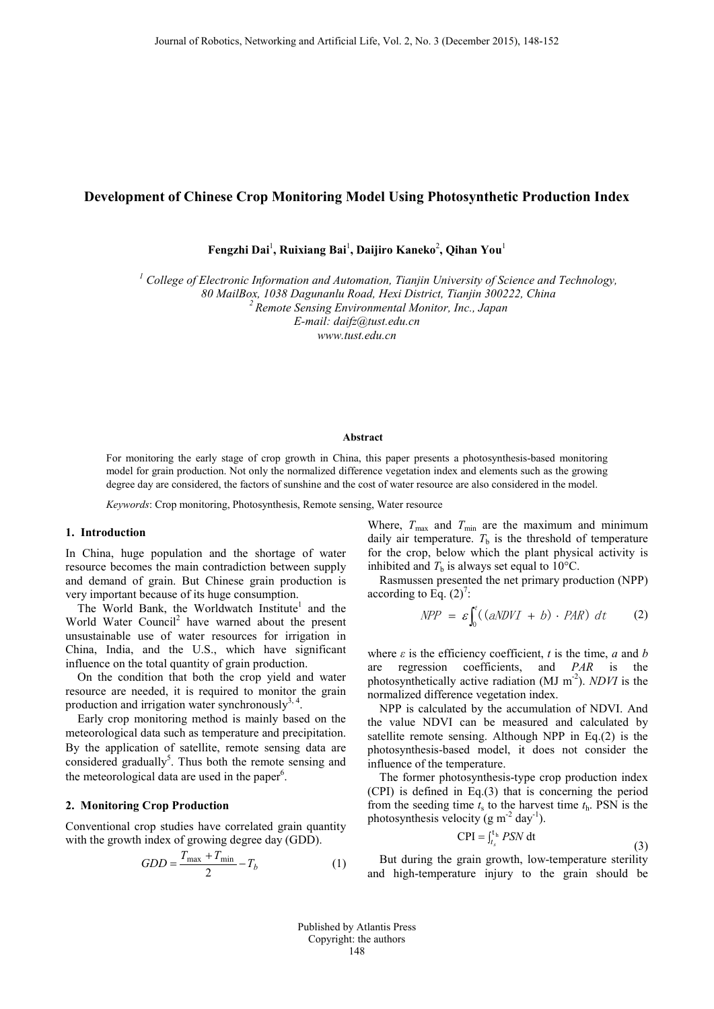## **Development of Chinese Crop Monitoring Model Using Photosynthetic Production Index**

**Fengzhi Dai**<sup>1</sup> **, Ruixiang Bai**<sup>1</sup> **, Daijiro Kaneko**<sup>2</sup> **, Qihan You**<sup>1</sup>

*<sup>1</sup> College of Electronic Information and Automation, Tianjin University of Science and Technology,* 

*80 MailBox, 1038 Dagunanlu Road, Hexi District, Tianjin 300222, China 2 Remote Sensing Environmental Monitor, Inc., Japan*

*E-mail: daifz@tust.edu.cn*

*www.tust.edu.cn*

### **Abstract**

For monitoring the early stage of crop growth in China, this paper presents a photosynthesis-based monitoring model for grain production. Not only the normalized difference vegetation index and elements such as the growing degree day are considered, the factors of sunshine and the cost of water resource are also considered in the model.

*Keywords*: Crop monitoring, Photosynthesis, Remote sensing, Water resource

### **1. Introduction**

In China, huge population and the shortage of water resource becomes the main contradiction between supply and demand of grain. But Chinese grain production is very important because of its huge consumption.

The World Bank, the Worldwatch Institute<sup>1</sup> and the World Water Council<sup>2</sup> have warned about the present unsustainable use of water resources for irrigation in China, India, and the U.S., which have significant influence on the total quantity of grain production.

On the condition that both the crop yield and water resource are needed, it is required to monitor the grain production and irrigation water synchronously $3, 4$ .

Early crop monitoring method is mainly based on the meteorological data such as temperature and precipitation. By the application of satellite, remote sensing data are considered gradually<sup>5</sup>. Thus both the remote sensing and the meteorological data are used in the paper<sup>6</sup>.

### **2. Monitoring Crop Production**

Conventional crop studies have correlated grain quantity with the growth index of growing degree day (GDD).

$$
GDD = \frac{T_{\text{max}} + T_{\text{min}}}{2} - T_b \tag{1}
$$

Where,  $T_{\text{max}}$  and  $T_{\text{min}}$  are the maximum and minimum daily air temperature.  $T<sub>b</sub>$  is the threshold of temperature for the crop, below which the plant physical activity is inhibited and  $T<sub>b</sub>$  is always set equal to 10 $^{\circ}$ C.

Rasmussen presented the net primary production (NPP) according to Eq.  $(2)^7$ :

$$
NPP = \varepsilon \int_0^t ((aNDVI + b) \cdot PAR) \ dt \qquad (2)
$$

where  $\varepsilon$  is the efficiency coefficient, *t* is the time, *a* and *b* are regression coefficients, and *PAR* is the photosynthetically active radiation (MJ m-2). *NDVI* is the normalized difference vegetation index.

NPP is calculated by the accumulation of NDVI. And the value NDVI can be measured and calculated by satellite remote sensing. Although NPP in Eq.(2) is the photosynthesis-based model, it does not consider the influence of the temperature.

The former photosynthesis-type crop production index (CPI) is defined in Eq.(3) that is concerning the period from the seeding time  $t_s$  to the harvest time  $t_h$ . PSN is the photosynthesis velocity ( $g m^{-2}$  day<sup>-1</sup>).

$$
CPI = \int_{t_s}^{t_h} PSN dt
$$
 (3)

But during the grain growth, low-temperature sterility and high-temperature injury to the grain should be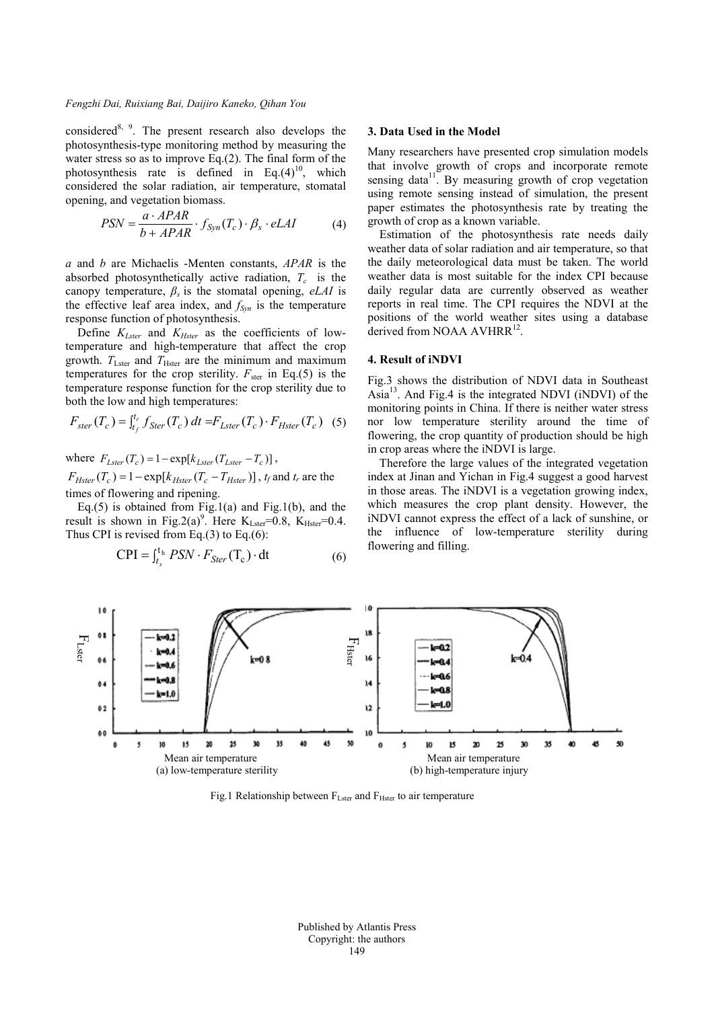#### *Fengzhi Dai, Ruixiang Bai, Daijiro Kaneko, Qihan You*

considered<sup>8, 9</sup>. The present research also develops the photosynthesis-type monitoring method by measuring the water stress so as to improve Eq.(2). The final form of the photosynthesis rate is defined in Eq. $(4)^{10}$ , which considered the solar radiation, air temperature, stomatal opening, and vegetation biomass.

$$
PSN = \frac{a \cdot APAR}{b + APAR} \cdot f_{Syn}(T_c) \cdot \beta_s \cdot eLAI \tag{4}
$$

*a* and *b* are Michaelis -Menten constants, *APAR* is the absorbed photosynthetically active radiation,  $T_c$  is the canopy temperature,  $\beta_s$  is the stomatal opening, *eLAI* is the effective leaf area index, and  $f_{\text{Syn}}$  is the temperature response function of photosynthesis.

Define  $K_{Lster}$  and  $K_{Hster}$  as the coefficients of lowtemperature and high-temperature that affect the crop growth.  $T_{\text{Lster}}$  and  $T_{\text{Hster}}$  are the minimum and maximum temperatures for the crop sterility.  $F_{\text{ster}}$  in Eq.(5) is the temperature response function for the crop sterility due to both the low and high temperatures:

$$
F_{ster}(T_c) = \int_{t_f}^{t_r} f_{Ster}(T_c) dt = F_{Lster}(T_c) \cdot F_{Hster}(T_c) \quad (5)
$$

where  $F_{Lster}(T_c) = 1 - \exp[k_{Lster}(T_{Lster} - T_c)]$ ,  $F_{Hster}(T_c) = 1 - \exp[k_{Hster}(T_c - T_{Hster})]$ ,  $t_f$  and  $t_r$  are the times of flowering and ripening.

Eq.(5) is obtained from Fig.1(a) and Fig.1(b), and the result is shown in Fig.2(a)<sup>9</sup>. Here  $K_{Lster} = 0.8$ ,  $K_{Hster} = 0.4$ . Thus CPI is revised from Eq.(3) to Eq.(6):

$$
CPI = \int_{t_s}^{t_h} PSN \cdot F_{Ster}(T_c) \cdot dt
$$
 (6)

#### **3. Data Used in the Model**

Many researchers have presented crop simulation models that involve growth of crops and incorporate remote sensing data<sup>11</sup>. By measuring growth of crop vegetation using remote sensing instead of simulation, the present paper estimates the photosynthesis rate by treating the growth of crop as a known variable.

Estimation of the photosynthesis rate needs daily weather data of solar radiation and air temperature, so that the daily meteorological data must be taken. The world weather data is most suitable for the index CPI because daily regular data are currently observed as weather reports in real time. The CPI requires the NDVI at the positions of the world weather sites using a database derived from NOAA AVHRR<sup>12</sup>.

### **4. Result of iNDVI**

Fig.3 shows the distribution of NDVI data in Southeast Asia13. And Fig.4 is the integrated NDVI (iNDVI) of the monitoring points in China. If there is neither water stress nor low temperature sterility around the time of flowering, the crop quantity of production should be high in crop areas where the iNDVI is large.

Therefore the large values of the integrated vegetation index at Jinan and Yichan in Fig.4 suggest a good harvest in those areas. The iNDVI is a vegetation growing index, which measures the crop plant density. However, the iNDVI cannot express the effect of a lack of sunshine, or the influence of low-temperature sterility during flowering and filling.



Fig.1 Relationship between  $F_{Lster}$  and  $F_{Hster}$  to air temperature

Published by Atlantis Press Copyright: the authors 149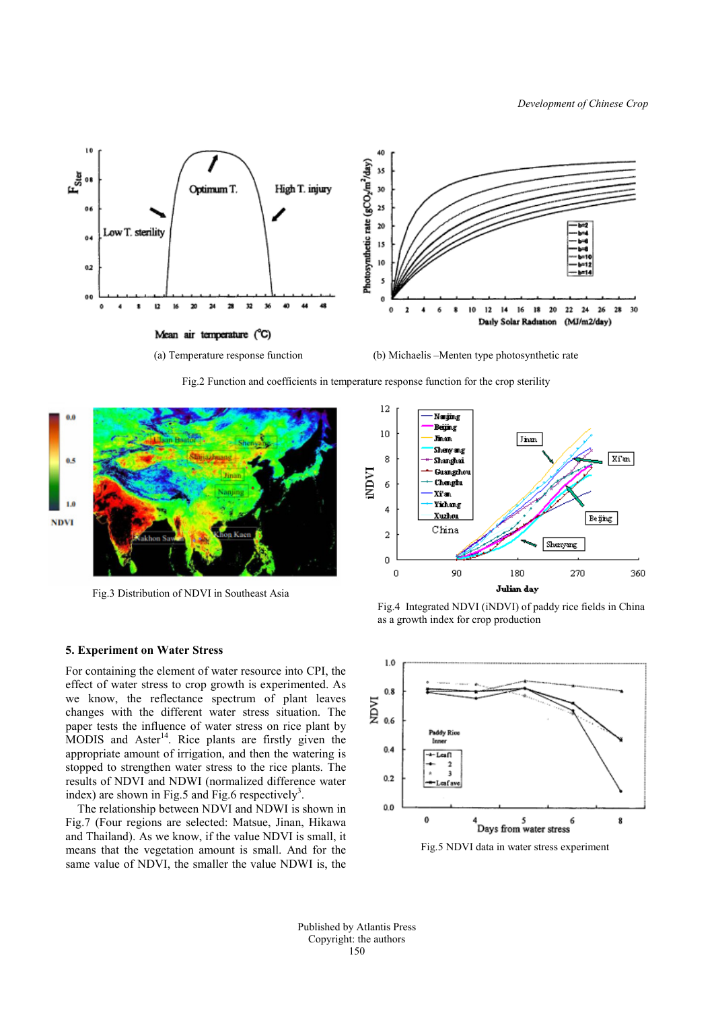

Fig.2 Function and coefficients in temperature response function for the crop sterility



Fig.3 Distribution of NDVI in Southeast Asia



Fig.4 Integrated NDVI (iNDVI) of paddy rice fields in China as a growth index for crop production

# **5. Experiment on Water Stress**

For containing the element of water resource into CPI, the effect of water stress to crop growth is experimented. As we know, the reflectance spectrum of plant leaves changes with the different water stress situation. The paper tests the influence of water stress on rice plant by MODIS and Aster<sup>14</sup>. Rice plants are firstly given the appropriate amount of irrigation, and then the watering is stopped to strengthen water stress to the rice plants. The results of NDVI and NDWI (normalized difference water index) are shown in Fig.5 and Fig.6 respectively<sup>3</sup>.

The relationship between NDVI and NDWI is shown in Fig.7 (Four regions are selected: Matsue, Jinan, Hikawa and Thailand). As we know, if the value NDVI is small, it means that the vegetation amount is small. And for the same value of NDVI, the smaller the value NDWI is, the



Fig.5 NDVI data in water stress experiment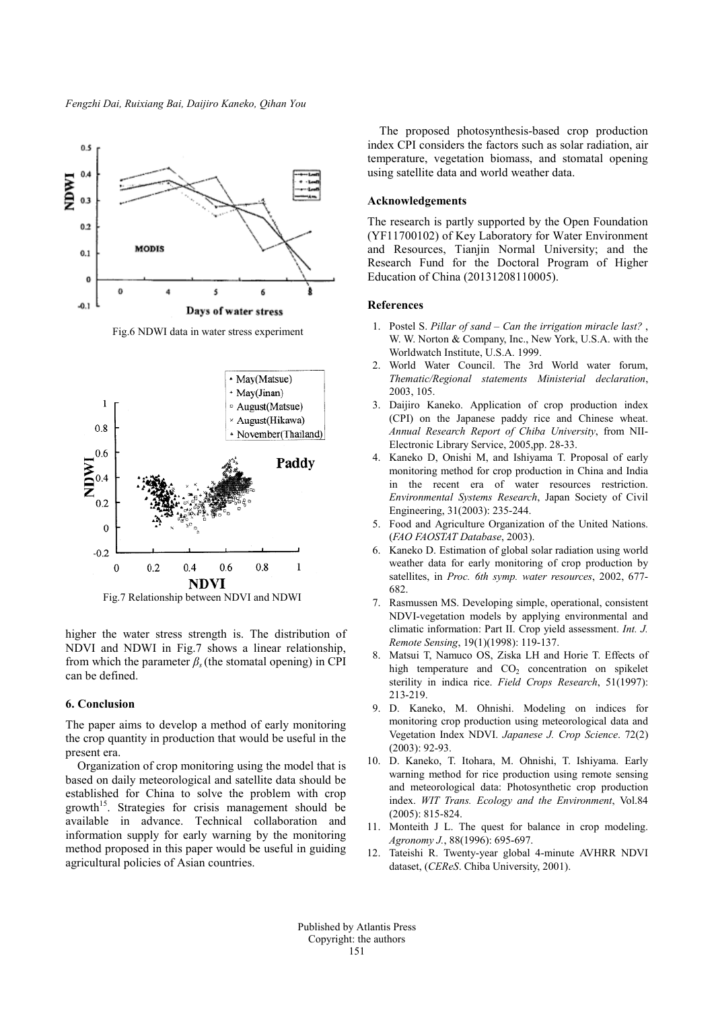

Fig.6 NDWI data in water stress experiment



Fig.7 Relationship between NDVI and NDWI

higher the water stress strength is. The distribution of NDVI and NDWI in Fig.7 shows a linear relationship, from which the parameter  $\beta_s$  (the stomatal opening) in CPI can be defined.

### **6. Conclusion**

The paper aims to develop a method of early monitoring the crop quantity in production that would be useful in the present era.

Organization of crop monitoring using the model that is based on daily meteorological and satellite data should be established for China to solve the problem with crop growth<sup>15</sup>. Strategies for crisis management should be available in advance. Technical collaboration and information supply for early warning by the monitoring method proposed in this paper would be useful in guiding agricultural policies of Asian countries.

The proposed photosynthesis-based crop production index CPI considers the factors such as solar radiation, air temperature, vegetation biomass, and stomatal opening using satellite data and world weather data.

### **Acknowledgements**

The research is partly supported by the Open Foundation (YF11700102) of Key Laboratory for Water Environment and Resources, Tianjin Normal University; and the Research Fund for the Doctoral Program of Higher Education of China (20131208110005).

#### **References**

- 1. Postel S. *Pillar of sand – Can the irrigation miracle last?* , W. W. Norton & Company, Inc., New York, U.S.A. with the Worldwatch Institute, U.S.A. 1999.
- 2. World Water Council. The 3rd World water forum, *Thematic/Regional statements Ministerial declaration*, 2003, 105.
- 3. Daijiro Kaneko. Application of crop production index (CPI) on the Japanese paddy rice and Chinese wheat. *Annual Research Report of Chiba University*, from NII-Electronic Library Service, 2005,pp. 28-33.
- Kaneko D, Onishi M, and Ishiyama T. Proposal of early monitoring method for crop production in China and India in the recent era of water resources restriction. *Environmental Systems Research*, Japan Society of Civil Engineering, 31(2003): 235-244.
- 5. Food and Agriculture Organization of the United Nations. (*FAO FAOSTAT Database*, 2003).
- 6. Kaneko D. Estimation of global solar radiation using world weather data for early monitoring of crop production by satellites, in *Proc. 6th symp. water resources*, 2002, 677- 682.
- 7. Rasmussen MS. Developing simple, operational, consistent NDVI-vegetation models by applying environmental and climatic information: Part II. Crop yield assessment. *Int. J. Remote Sensing*, 19(1)(1998): 119-137.
- 8. Matsui T, Namuco OS, Ziska LH and Horie T. Effects of high temperature and  $CO<sub>2</sub>$  concentration on spikelet sterility in indica rice. *Field Crops Research*, 51(1997): 213-219.
- 9. D. Kaneko, M. Ohnishi. Modeling on indices for monitoring crop production using meteorological data and Vegetation Index NDVI. *Japanese J. Crop Science*. 72(2) (2003): 92-93.
- 10. D. Kaneko, T. Itohara, M. Ohnishi, T. Ishiyama. Early warning method for rice production using remote sensing and meteorological data: Photosynthetic crop production index. *WIT Trans. Ecology and the Environment*, Vol.84 (2005): 815-824.
- 11. Monteith J L. The quest for balance in crop modeling. *Agronomy J.*, 88(1996): 695-697.
- 12. Tateishi R. Twenty-year global 4-minute AVHRR NDVI dataset, (*CEReS*. Chiba University, 2001).